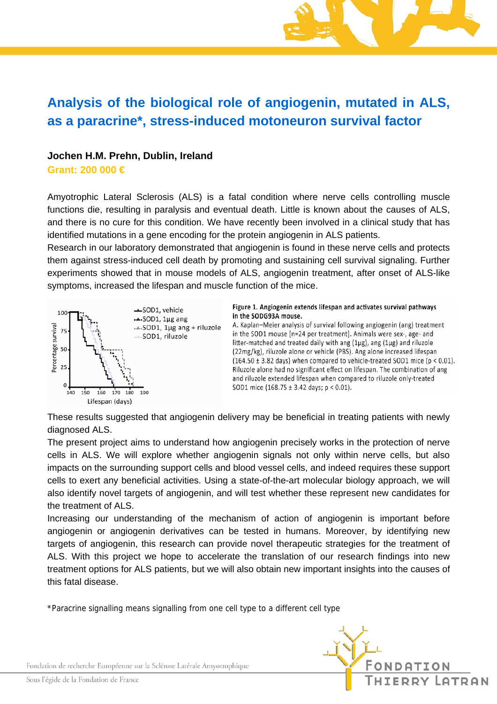# **Analysis of the biological role of angiogenin, mutated in ALS, as a paracrine\*, stress-induced motoneuron survival factor**

### **Jochen H.M. Prehn, Dublin, Ireland**

**Grant: 200 000 €** 

Amyotrophic Lateral Sclerosis (ALS) is a fatal condition where nerve cells controlling muscle functions die, resulting in paralysis and eventual death. Little is known about the causes of ALS, and there is no cure for this condition. We have recently been involved in a clinical study that has identified mutations in a gene encoding for the protein angiogenin in ALS patients.

Research in our laboratory demonstrated that angiogenin is found in these nerve cells and protects them against stress-induced cell death by promoting and sustaining cell survival signaling. Further experiments showed that in mouse models of ALS, angiogenin treatment, after onset of ALS-like symptoms, increased the lifespan and muscle function of the mice.



Figure 1. Angiogenin extends lifespan and activates survival pathways in the SODG93A mouse.

A. Kaplan-Meier analysis of survival following angiogenin (ang) treatment in the SOD1 mouse [n=24 per treatment]. Animals were sex-, age- and litter-matched and treated daily with ang (1µg), ang (1µg) and riluzole (22mg/kg), riluzole alone or vehicle (PBS). Ang alone increased lifespan  $(164.50 \pm 3.82$  days) when compared to vehicle-treated SOD1 mice ( $p < 0.01$ ). Riluzole alone had no significant effect on lifespan. The combination of ang and riluzole extended lifespan when compared to riluzole only-treated SOD1 mice  $(168.75 \pm 3.42 \text{ days}; p < 0.01)$ .

These results suggested that angiogenin delivery may be beneficial in treating patients with newly diagnosed ALS.

The present project aims to understand how angiogenin precisely works in the protection of nerve cells in ALS. We will explore whether angiogenin signals not only within nerve cells, but also impacts on the surrounding support cells and blood vessel cells, and indeed requires these support cells to exert any beneficial activities. Using a state-of-the-art molecular biology approach, we will also identify novel targets of angiogenin, and will test whether these represent new candidates for the treatment of ALS.

Increasing our understanding of the mechanism of action of angiogenin is important before angiogenin or angiogenin derivatives can be tested in humans. Moreover, by identifying new targets of angiogenin, this research can provide novel therapeutic strategies for the treatment of ALS. With this project we hope to accelerate the translation of our research findings into new treatment options for ALS patients, but we will also obtain new important insights into the causes of this fatal disease.

\*Paracrine signalling means signalling from one cell type to a different cell type



Fondation de recherche Européenne sur la Sclérose Latérale Amyotrophique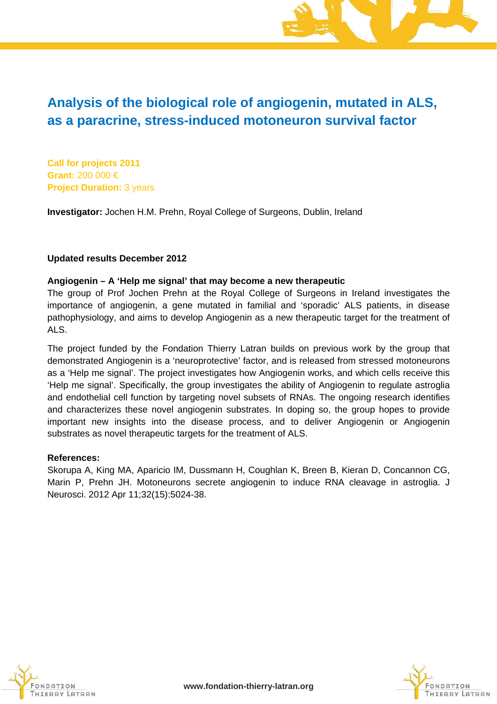## **Analysis of the biological role of angiogenin, mutated in ALS, as a paracrine, stress-induced motoneuron survival factor**

**Call for projects 2011 Grant:** 200 000 € **Project Duration:** 3 years

**Investigator:** Jochen H.M. Prehn, Royal College of Surgeons, Dublin, Ireland

### **Updated results December 2012**

### **Angiogenin – A 'Help me signal' that may become a new therapeutic**

The group of Prof Jochen Prehn at the Royal College of Surgeons in Ireland investigates the importance of angiogenin, a gene mutated in familial and 'sporadic' ALS patients, in disease pathophysiology, and aims to develop Angiogenin as a new therapeutic target for the treatment of ALS.

The project funded by the Fondation Thierry Latran builds on previous work by the group that demonstrated Angiogenin is a 'neuroprotective' factor, and is released from stressed motoneurons as a 'Help me signal'. The project investigates how Angiogenin works, and which cells receive this 'Help me signal'. Specifically, the group investigates the ability of Angiogenin to regulate astroglia and endothelial cell function by targeting novel subsets of RNAs. The ongoing research identifies and characterizes these novel angiogenin substrates. In doping so, the group hopes to provide important new insights into the disease process, and to deliver Angiogenin or Angiogenin substrates as novel therapeutic targets for the treatment of ALS.

#### **References:**

Skorupa A, King MA, Aparicio IM, Dussmann H, Coughlan K, Breen B, Kieran D, Concannon CG, Marin P, Prehn JH. Motoneurons secrete angiogenin to induce RNA cleavage in astroglia. J Neurosci. 2012 Apr 11;32(15):5024-38.